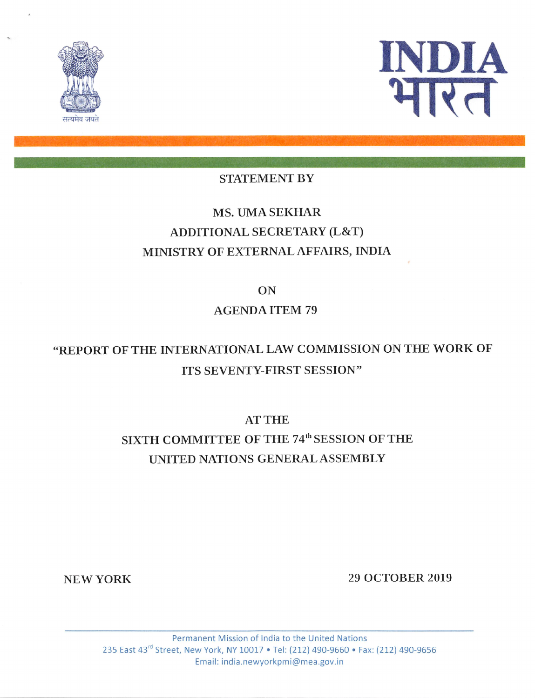



### STATEMENT BY

## MS. UMA SEKHAR ADDITIONAL SECRETARY (L&T) MINISTRY OF EXTERNAL AFFAIRS, INDIA

ON

### AGENDA ITEM 79

# "REPORT OF THE INTERNATIONAL LAW COMMISSION ON THE WORK OF ITS SEVENTY-FIRST SESSION"

AT THE

# SIXTH COMMITTEE OF THE 74<sup>th</sup> SESSION OF THE UNITED NATIONS GENERAL ASSEMBLY

NEW YORK 29 OCTOBER 2019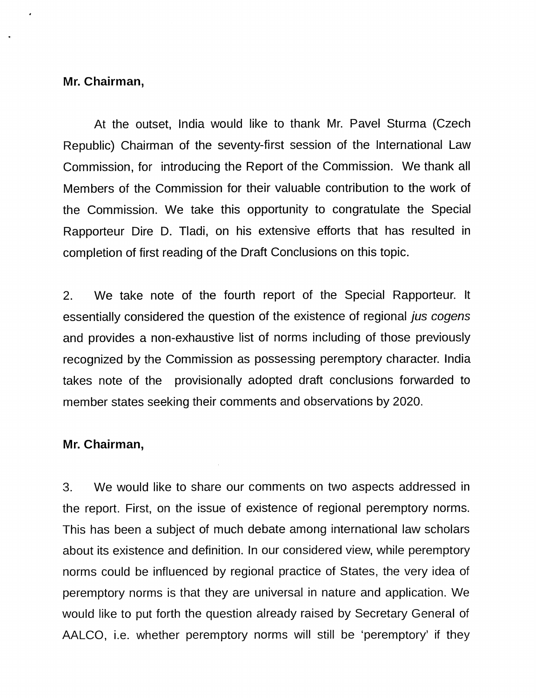#### Mr. Chairman,

At the outset, India would like to thank Mr. Pavel Sturma (Czech Republic) Chairman of the seventy-first session of the International Law Commission, for introducing the Report of the Commission. We thank all Members of the Commission for their valuable contribution to the work of the Commission. We take this opportunity to congratulate the Special Rapporteur Dire D. TIadi, on his extensive efforts that has resulted in completion of first reading of the Draft Conclusions on this topic.

2. We take note of the fourth report of the Special Rapporteur. It essentially considered the question of the existence of regional *jus cogens* and provides a non-exhaustive list of norms including of those previously recognized by the Commission as possessing peremptory character. India takes note of the provisionally adopted draft conclusions forwarded to member states seeking their comments and observations by 2020.

### Mr. Chairman,

3. We would like to share our comments on two aspects addressed in the report. First, on the issue of existence of regional peremptory norms. This has been a subject of much debate among international law scholars about its existence and definition. In our considered view, while peremptory norms could be influenced by regional practice of States, the very idea of peremptory norms is that they are universal in nature and application. We would like to put forth the question already raised by Secretary General of AALCO, i.e. whether peremptory norms will still be 'peremptory' if they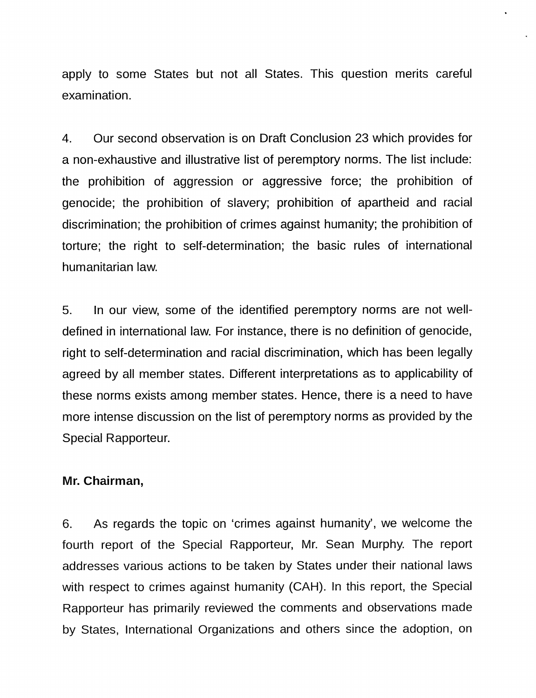apply to some States but not ail States. This question merits careful examination.

4. Our second observation is on Draft Conclusion 23 which provides for a non-exhaustive and illustrative list of peremptory norms. The list include: the prohibition of aggression or aggressive force; the prohibition of genocide; the prohibition of slavery; prohibition of apartheid and racial discrimination; the prohibition of crimes against humanity; the prohibition of torture; the right to self-determination; the basic rules of international humanitarian law.

5. In our view, some of the identified peremptory norms are not welldefined in international law. For instance, there is no definition of genocide, right to self-determination and racial discrimination, which has been legally agreed by all member states. Different interpretations as to applicability of these norms exists among member states. Hence, there is a need to have more intense discussion on the list of peremptory norms as provided by the Special Rapporteur.

### Mr. Chairman,

6. As regards the topic on 'crimes against humanity', we welcome the fourth report of the Special Rapporteur, Mr. Sean Murphy. The report addresses various actions to be taken by States under their national laws with respect to crimes against humanity (CAH). In this report, the Special Rapporteur has primarily reviewed the comments and observations made by States, International Organizations and others since the adoption, on